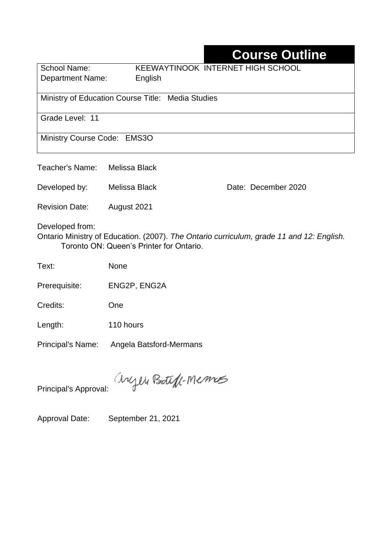# **Course Outline**

School Name: KEEWAYTINOOK INTERNET HIGH SCHOOL Department Name:English

Ministry of Education Course Title: Media Studies

Grade Level: 11

Ministry Course Code: EMS3O

Teacher's Name: Melissa Black

Developed by: Melissa Black Date: December 2020

Revision Date: August 2021

Developed from:

Ontario Ministry of Education. (2007). *The Ontario curriculum, grade 11 and 12: English.*  Toronto ON: Queen's Printer for Ontario.

Text: None

Prerequisite: ENG2P, ENG2A

Credits: One

Length: 110 hours

Principal's Name: Angela Batsford-Mermans

anyen Boteff-Memos

Principal's Approval:

Approval Date: September 21, 2021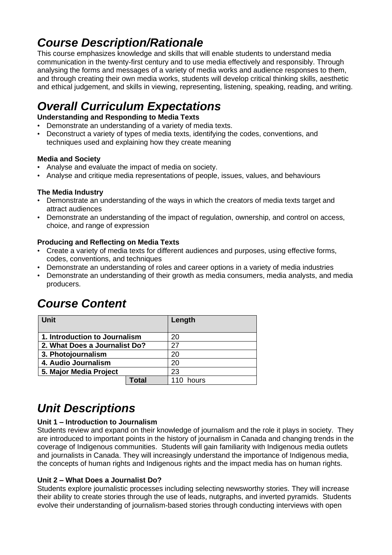# *Course Description/Rationale*

This course emphasizes knowledge and skills that will enable students to understand media communication in the twenty-first century and to use media effectively and responsibly. Through analysing the forms and messages of a variety of media works and audience responses to them, and through creating their own media works, students will develop critical thinking skills, aesthetic and ethical judgement, and skills in viewing, representing, listening, speaking, reading, and writing.

# *Overall Curriculum Expectations*

#### **Understanding and Responding to Media Texts**

- Demonstrate an understanding of a variety of media texts.
- Deconstruct a variety of types of media texts, identifying the codes, conventions, and techniques used and explaining how they create meaning

#### **Media and Society**

- Analyse and evaluate the impact of media on society.
- Analyse and critique media representations of people, issues, values, and behaviours

#### **The Media Industry**

- Demonstrate an understanding of the ways in which the creators of media texts target and attract audiences
- Demonstrate an understanding of the impact of regulation, ownership, and control on access, choice, and range of expression

#### **Producing and Reflecting on Media Texts**

- Create a variety of media texts for different audiences and purposes, using effective forms, codes, conventions, and techniques
- Demonstrate an understanding of roles and career options in a variety of media industries
- Demonstrate an understanding of their growth as media consumers, media analysts, and media producers.

# *Course Content*

| Unit                          |       | Length |
|-------------------------------|-------|--------|
| 1. Introduction to Journalism |       | 20     |
| 2. What Does a Journalist Do? |       | 27     |
| 3. Photojournalism            |       | 20     |
| 4. Audio Journalism           |       | 20     |
| 5. Major Media Project        |       | 23     |
|                               | Total | hours  |

## *Unit Descriptions*

#### **Unit 1 – Introduction to Journalism**

Students review and expand on their knowledge of journalism and the role it plays in society. They are introduced to important points in the history of journalism in Canada and changing trends in the coverage of Indigenous communities. Students will gain familiarity with Indigenous media outlets and journalists in Canada. They will increasingly understand the importance of Indigenous media, the concepts of human rights and Indigenous rights and the impact media has on human rights.

#### **Unit 2 – What Does a Journalist Do?**

Students explore journalistic processes including selecting newsworthy stories. They will increase their ability to create stories through the use of leads, nutgraphs, and inverted pyramids. Students evolve their understanding of journalism-based stories through conducting interviews with open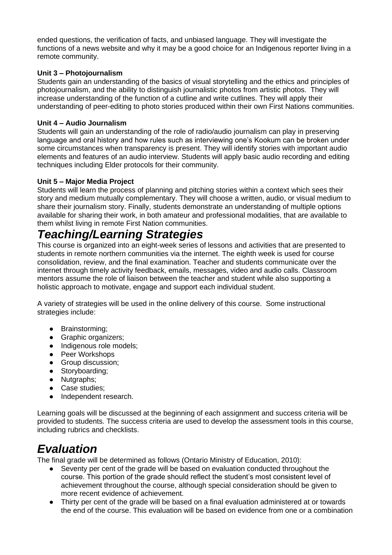ended questions, the verification of facts, and unbiased language. They will investigate the functions of a news website and why it may be a good choice for an Indigenous reporter living in a remote community.

#### **Unit 3 – Photojournalism**

Students gain an understanding of the basics of visual storytelling and the ethics and principles of photojournalism, and the ability to distinguish journalistic photos from artistic photos. They will increase understanding of the function of a cutline and write cutlines. They will apply their understanding of peer-editing to photo stories produced within their own First Nations communities.

#### **Unit 4 – Audio Journalism**

Students will gain an understanding of the role of radio/audio journalism can play in preserving language and oral history and how rules such as interviewing one's Kookum can be broken under some circumstances when transparency is present. They will identify stories with important audio elements and features of an audio interview. Students will apply basic audio recording and editing techniques including Elder protocols for their community.

#### **Unit 5 – Major Media Project**

Students will learn the process of planning and pitching stories within a context which sees their story and medium mutually complementary. They will choose a written, audio, or visual medium to share their journalism story. Finally, students demonstrate an understanding of multiple options available for sharing their work, in both amateur and professional modalities, that are available to them whilst living in remote First Nation communities.

### *Teaching/Learning Strategies*

This course is organized into an eight-week series of lessons and activities that are presented to students in remote northern communities via the internet. The eighth week is used for course consolidation, review, and the final examination. Teacher and students communicate over the internet through timely activity feedback, emails, messages, video and audio calls. Classroom mentors assume the role of liaison between the teacher and student while also supporting a holistic approach to motivate, engage and support each individual student.

A variety of strategies will be used in the online delivery of this course. Some instructional strategies include:

- Brainstorming;
- Graphic organizers;
- Indigenous role models;
- Peer Workshops
- Group discussion;
- Storyboarding;
- Nutgraphs:
- Case studies:
- Independent research.

Learning goals will be discussed at the beginning of each assignment and success criteria will be provided to students. The success criteria are used to develop the assessment tools in this course, including rubrics and checklists.

### *Evaluation*

The final grade will be determined as follows (Ontario Ministry of Education, 2010):

- Seventy per cent of the grade will be based on evaluation conducted throughout the course. This portion of the grade should reflect the student's most consistent level of achievement throughout the course, although special consideration should be given to more recent evidence of achievement.
- Thirty per cent of the grade will be based on a final evaluation administered at or towards the end of the course. This evaluation will be based on evidence from one or a combination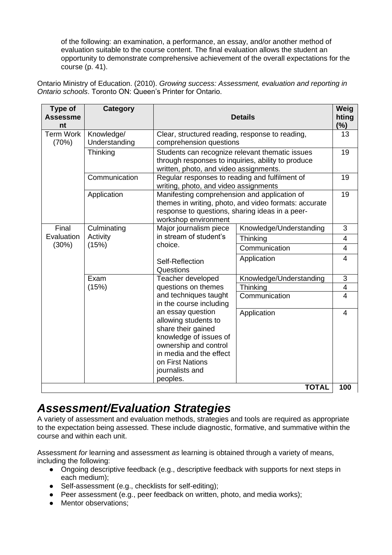of the following: an examination, a performance, an essay, and/or another method of evaluation suitable to the course content. The final evaluation allows the student an opportunity to demonstrate comprehensive achievement of the overall expectations for the course (p. 41).

Ontario Ministry of Education. (2010). *Growing success: Assessment, evaluation and reporting in Ontario schools*. Toronto ON: Queen's Printer for Ontario.

| Type of<br><b>Assessme</b><br>nt | Category                         | <b>Details</b>                                                                                                                                                                                                                                                                                   |                         | Weig<br>hting<br>(%)    |
|----------------------------------|----------------------------------|--------------------------------------------------------------------------------------------------------------------------------------------------------------------------------------------------------------------------------------------------------------------------------------------------|-------------------------|-------------------------|
| <b>Term Work</b><br>(70%)        | Knowledge/<br>Understanding      | Clear, structured reading, response to reading,<br>comprehension questions                                                                                                                                                                                                                       |                         | 13                      |
|                                  | Thinking                         | Students can recognize relevant thematic issues<br>through responses to inquiries, ability to produce<br>written, photo, and video assignments.                                                                                                                                                  |                         | 19                      |
|                                  | Communication                    | Regular responses to reading and fulfilment of<br>writing, photo, and video assignments                                                                                                                                                                                                          |                         | 19                      |
|                                  | Application                      | Manifesting comprehension and application of<br>themes in writing, photo, and video formats: accurate<br>response to questions, sharing ideas in a peer-<br>workshop environment                                                                                                                 |                         | 19                      |
| Final<br>Evaluation<br>(30%)     | Culminating<br>Activity<br>(15%) | Major journalism piece                                                                                                                                                                                                                                                                           | Knowledge/Understanding | 3                       |
|                                  |                                  | in stream of student's<br>choice.                                                                                                                                                                                                                                                                | Thinking                | $\overline{4}$          |
|                                  |                                  |                                                                                                                                                                                                                                                                                                  | Communication           | $\overline{\mathbf{4}}$ |
|                                  |                                  | Self-Reflection<br>Questions                                                                                                                                                                                                                                                                     | Application             | $\overline{4}$          |
|                                  | Exam<br>(15%)                    | Teacher developed<br>questions on themes<br>and techniques taught<br>in the course including<br>an essay question<br>allowing students to<br>share their gained<br>knowledge of issues of<br>ownership and control<br>in media and the effect<br>on First Nations<br>journalists and<br>peoples. | Knowledge/Understanding | 3                       |
|                                  |                                  |                                                                                                                                                                                                                                                                                                  | Thinking                | 4                       |
|                                  |                                  |                                                                                                                                                                                                                                                                                                  | Communication           | $\overline{4}$          |
|                                  |                                  |                                                                                                                                                                                                                                                                                                  | Application             | $\overline{4}$<br>100   |
| <b>TOTAL</b>                     |                                  |                                                                                                                                                                                                                                                                                                  |                         |                         |

### *Assessment/Evaluation Strategies*

A variety of assessment and evaluation methods, strategies and tools are required as appropriate to the expectation being assessed. These include diagnostic, formative, and summative within the course and within each unit.

Assessment *for* learning and assessment *as* learning is obtained through a variety of means, including the following:

- Ongoing descriptive feedback (e.g., descriptive feedback with supports for next steps in each medium);
- Self-assessment (e.g., checklists for self-editing);
- Peer assessment (e.g., peer feedback on written, photo, and media works);
- Mentor observations;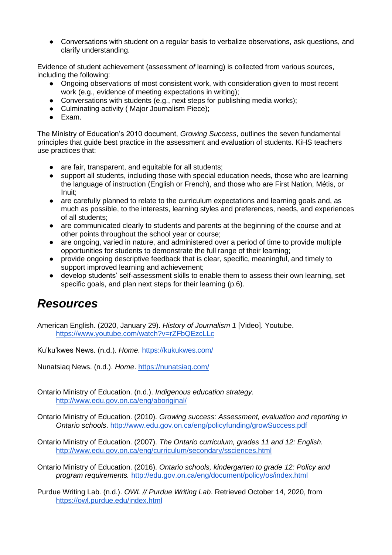• Conversations with student on a regular basis to verbalize observations, ask questions, and clarify understanding.

Evidence of student achievement (assessment *of* learning) is collected from various sources, including the following:

- Ongoing observations of most consistent work, with consideration given to most recent work (e.g., evidence of meeting expectations in writing);
- Conversations with students (e.g., next steps for publishing media works);
- Culminating activity ( Major Journalism Piece);
- Exam.

The Ministry of Education's 2010 document, *Growing Success*, outlines the seven fundamental principles that guide best practice in the assessment and evaluation of students. KiHS teachers use practices that:

- are fair, transparent, and equitable for all students;
- support all students, including those with special education needs, those who are learning the language of instruction (English or French), and those who are First Nation, Métis, or Inuit;
- are carefully planned to relate to the curriculum expectations and learning goals and, as much as possible, to the interests, learning styles and preferences, needs, and experiences of all students;
- are communicated clearly to students and parents at the beginning of the course and at other points throughout the school year or course;
- are ongoing, varied in nature, and administered over a period of time to provide multiple opportunities for students to demonstrate the full range of their learning;
- provide ongoing descriptive feedback that is clear, specific, meaningful, and timely to support improved learning and achievement;
- develop students' self-assessment skills to enable them to assess their own learning, set specific goals, and plan next steps for their learning (p.6).

### *Resources*

American English. (2020, January 29). *History of Journalism 1* [Video]. Youtube. <https://www.youtube.com/watch?v=rZFbQEzcLLc>

Ku'ku'kwes News. (n.d.). *Home*.<https://kukukwes.com/>

Nunatsiaq News. (n.d.). *Home*.<https://nunatsiaq.com/>

Ontario Ministry of Education. (n.d.). *Indigenous education strategy.* <http://www.edu.gov.on.ca/eng/aboriginal/>

Ontario Ministry of Education. (2010). *Growing success: Assessment, evaluation and reporting in Ontario schools*.<http://www.edu.gov.on.ca/eng/policyfunding/growSuccess.pdf>

Ontario Ministry of Education. (2007). *The Ontario curriculum, grades 11 and 12: English.*  <http://www.edu.gov.on.ca/eng/curriculum/secondary/ssciences.html>

Ontario Ministry of Education. (2016). *Ontario schools, kindergarten to grade 12: Policy and program requirements.* <http://edu.gov.on.ca/eng/document/policy/os/index.html>

Purdue Writing Lab. (n.d.). *OWL // Purdue Writing Lab*. Retrieved October 14, 2020, from <https://owl.purdue.edu/index.html>